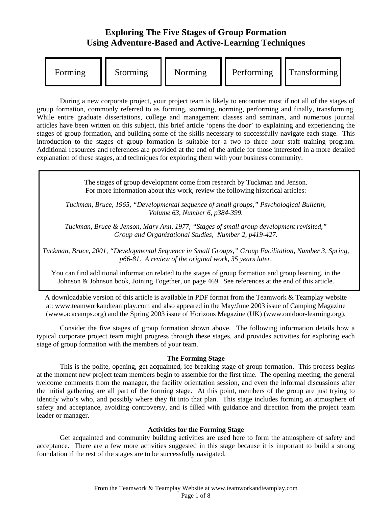# **Exploring The Five Stages of Group Formation Using Adventure-Based and Active-Learning Techniques**

| <b>Forming</b> | Storming | Norming |  | Performing    Transforming |
|----------------|----------|---------|--|----------------------------|
|----------------|----------|---------|--|----------------------------|

 During a new corporate project, your project team is likely to encounter most if not all of the stages of group formation, commonly referred to as forming, storming, norming, performing and finally, transforming. While entire graduate dissertations, college and management classes and seminars, and numerous journal articles have been written on this subject, this brief article 'opens the door' to explaining and experiencing the stages of group formation, and building some of the skills necessary to successfully navigate each stage. This introduction to the stages of group formation is suitable for a two to three hour staff training program. Additional resources and references are provided at the end of the article for those interested in a more detailed explanation of these stages, and techniques for exploring them with your business community.

> The stages of group development come from research by Tuckman and Jenson. For more information about this work, review the following historical articles:

*Tuckman, Bruce, 1965, "Developmental sequence of small groups," Psychological Bulletin, Volume 63, Number 6, p384-399.*

*Tuckman, Bruce & Jenson, Mary Ann, 1977, "Stages of small group development revisited," Group and Organizational Studies, Number 2, p419-427.* 

*Tuckman, Bruce, 2001, "Developmental Sequence in Small Groups," Group Facilitation, Number 3, Spring, p66-81. A review of the original work, 35 years later.*

You can find additional information related to the stages of group formation and group learning, in the Johnson & Johnson book, Joining Together, on page 469. See references at the end of this article.

A downloadable version of this article is available in PDF format from the Teamwork & Teamplay website at: www.teamworkandteamplay.com and also appeared in the May/June 2003 issue of Camping Magazine (www.acacamps.org) and the Spring 2003 issue of Horizons Magazine (UK) (www.outdoor-learning.org).

Consider the five stages of group formation shown above. The following information details how a typical corporate project team might progress through these stages, and provides activities for exploring each stage of group formation with the members of your team.

### **The Forming Stage**

 This is the polite, opening, get acquainted, ice breaking stage of group formation. This process begins at the moment new project team members begin to assemble for the first time. The opening meeting, the general welcome comments from the manager, the facility orientation session, and even the informal discussions after the initial gathering are all part of the forming stage. At this point, members of the group are just trying to identify who's who, and possibly where they fit into that plan. This stage includes forming an atmosphere of safety and acceptance, avoiding controversy, and is filled with guidance and direction from the project team leader or manager.

### **Activities for the Forming Stage**

 Get acquainted and community building activities are used here to form the atmosphere of safety and acceptance. There are a few more activities suggested in this stage because it is important to build a strong foundation if the rest of the stages are to be successfully navigated.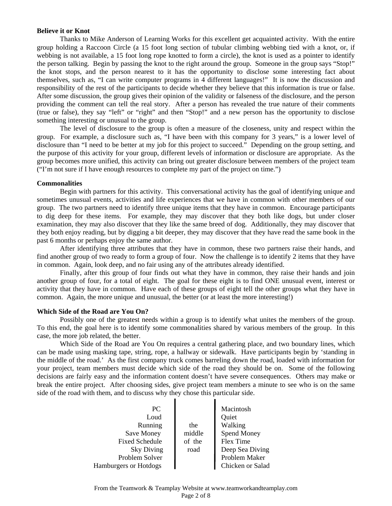### **Believe it or Knot**

 Thanks to Mike Anderson of Learning Works for this excellent get acquainted activity. With the entire group holding a Raccoon Circle (a 15 foot long section of tubular climbing webbing tied with a knot, or, if webbing is not available, a 15 foot long rope knotted to form a circle), the knot is used as a pointer to identify the person talking. Begin by passing the knot to the right around the group. Someone in the group says "Stop!" the knot stops, and the person nearest to it has the opportunity to disclose some interesting fact about themselves, such as, "I can write computer programs in 4 different languages!" It is now the discussion and responsibility of the rest of the participants to decide whether they believe that this information is true or false. After some discussion, the group gives their opinion of the validity or falseness of the disclosure, and the person providing the comment can tell the real story. After a person has revealed the true nature of their comments (true or false), they say "left" or "right" and then "Stop!" and a new person has the opportunity to disclose something interesting or unusual to the group.

 The level of disclosure to the group is often a measure of the closeness, unity and respect within the group. For example, a disclosure such as, "I have been with this company for 3 years," is a lower level of disclosure than "I need to be better at my job for this project to succeed." Depending on the group setting, and the purpose of this activity for your group, different levels of information or disclosure are appropriate. As the group becomes more unified, this activity can bring out greater disclosure between members of the project team ("I'm not sure if I have enough resources to complete my part of the project on time.")

### **Commonalities**

 Begin with partners for this activity. This conversational activity has the goal of identifying unique and sometimes unusual events, activities and life experiences that we have in common with other members of our group. The two partners need to identify three unique items that they have in common. Encourage participants to dig deep for these items. For example, they may discover that they both like dogs, but under closer examination, they may also discover that they like the same breed of dog. Additionally, they may discover that they both enjoy reading, but by digging a bit deeper, they may discover that they have read the same book in the past 6 months or perhaps enjoy the same author.

 After identifying three attributes that they have in common, these two partners raise their hands, and find another group of two ready to form a group of four. Now the challenge is to identify 2 items that they have in common. Again, look deep, and no fair using any of the attributes already identified.

 Finally, after this group of four finds out what they have in common, they raise their hands and join another group of four, for a total of eight. The goal for these eight is to find ONE unusual event, interest or activity that they have in common. Have each of these groups of eight tell the other groups what they have in common. Again, the more unique and unusual, the better (or at least the more interesting!)

### **Which Side of the Road are You On?**

 Possibly one of the greatest needs within a group is to identify what unites the members of the group. To this end, the goal here is to identify some commonalities shared by various members of the group. In this case, the more job related, the better.

 Which Side of the Road are You On requires a central gathering place, and two boundary lines, which can be made using masking tape, string, rope, a hallway or sidewalk. Have participants begin by 'standing in the middle of the road.' As the first company truck comes barreling down the road, loaded with information for your project, team members must decide which side of the road they should be on. Some of the following decisions are fairly easy and the information content doesn't have severe consequences. Others may make or break the entire project. After choosing sides, give project team members a minute to see who is on the same side of the road with them, and to discuss why they chose this particular side.

| PC.                   |        | Macintosh        |
|-----------------------|--------|------------------|
| Loud                  |        | Quiet            |
| Running               | the    | Walking          |
| Save Money            | middle | Spend Money      |
| <b>Fixed Schedule</b> | of the | Flex Time        |
| <b>Sky Diving</b>     | road   | Deep Sea Diving  |
| Problem Solver        |        | Problem Maker    |
| Hamburgers or Hotdogs |        | Chicken or Salad |
|                       |        |                  |

From the Teamwork & Teamplay Website at www.teamworkandteamplay.com Page 2 of 8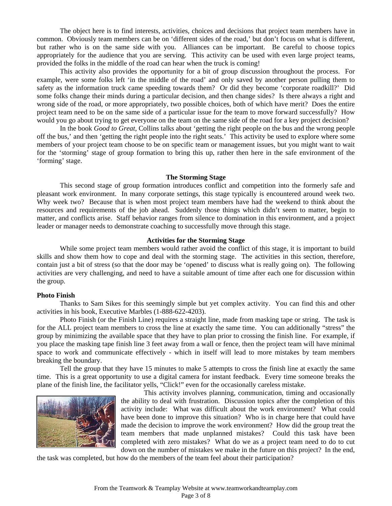The object here is to find interests, activities, choices and decisions that project team members have in common. Obviously team members can be on 'different sides of the road,' but don't focus on what is different, but rather who is on the same side with you. Alliances can be important. Be careful to choose topics appropriately for the audience that you are serving. This activity can be used with even large project teams, provided the folks in the middle of the road can hear when the truck is coming!

 This activity also provides the opportunity for a bit of group discussion throughout the process. For example, were some folks left 'in the middle of the road' and only saved by another person pulling them to safety as the information truck came speeding towards them? Or did they become 'corporate roadkill?' Did some folks change their minds during a particular decision, and then change sides? Is there always a right and wrong side of the road, or more appropriately, two possible choices, both of which have merit? Does the entire project team need to be on the same side of a particular issue for the team to move forward successfully? How would you go about trying to get everyone on the team on the same side of the road for a key project decision?

 In the book *Good to Great*, Collins talks about 'getting the right people on the bus and the wrong people off the bus,' and then 'getting the right people into the right seats.' This activity be used to explore where some members of your project team choose to be on specific team or management issues, but you might want to wait for the 'storming' stage of group formation to bring this up, rather then here in the safe environment of the 'forming' stage.

### **The Storming Stage**

This second stage of group formation introduces conflict and competition into the formerly safe and pleasant work environment. In many corporate settings, this stage typically is encountered around week two. Why week two? Because that is when most project team members have had the weekend to think about the resources and requirements of the job ahead. Suddenly those things which didn't seem to matter, begin to matter, and conflicts arise. Staff behavior ranges from silence to domination in this environment, and a project leader or manager needs to demonstrate coaching to successfully move through this stage.

### **Activities for the Storming Stage**

 While some project team members would rather avoid the conflict of this stage, it is important to build skills and show them how to cope and deal with the storming stage. The activities in this section, therefore, contain just a bit of stress (so that the door may be 'opened' to discuss what is really going on). The following activities are very challenging, and need to have a suitable amount of time after each one for discussion within the group.

### **Photo Finish**

 Thanks to Sam Sikes for this seemingly simple but yet complex activity. You can find this and other activities in his book, Executive Marbles (1-888-622-4203).

 Photo Finish (or the Finish Line) requires a straight line, made from masking tape or string. The task is for the ALL project team members to cross the line at exactly the same time. You can additionally "stress" the group by minimizing the available space that they have to plan prior to crossing the finish line. For example, if you place the masking tape finish line 3 feet away from a wall or fence, then the project team will have minimal space to work and communicate effectively - which in itself will lead to more mistakes by team members breaking the boundary.

 Tell the group that they have 15 minutes to make 5 attempts to cross the finish line at exactly the same time. This is a great opportunity to use a digital camera for instant feedback. Every time someone breaks the plane of the finish line, the facilitator yells, "Click!" even for the occasionally careless mistake.



 This activity involves planning, communication, timing and occasionally the ability to deal with frustration. Discussion topics after the completion of this activity include: What was difficult about the work environment? What could have been done to improve this situation? Who is in charge here that could have made the decision to improve the work environment? How did the group treat the team members that made unplanned mistakes? Could this task have been completed with zero mistakes? What do we as a project team need to do to cut down on the number of mistakes we make in the future on this project? In the end,

the task was completed, but how do the members of the team feel about their participation?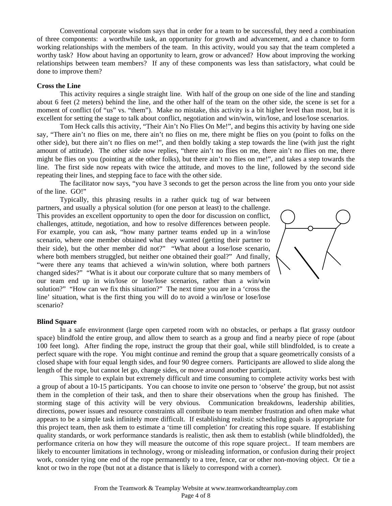Conventional corporate wisdom says that in order for a team to be successful, they need a combination of three components: a worthwhile task, an opportunity for growth and advancement, and a chance to form working relationships with the members of the team. In this activity, would you say that the team completed a worthy task? How about having an opportunity to learn, grow or advanced? How about improving the working relationships between team members? If any of these components was less than satisfactory, what could be done to improve them?

#### **Cross the Line**

 This activity requires a single straight line. With half of the group on one side of the line and standing about 6 feet (2 meters) behind the line, and the other half of the team on the other side, the scene is set for a moment of conflict (of "us" vs. "them"). Make no mistake, this activity is a bit higher level than most, but it is excellent for setting the stage to talk about conflict, negotiation and win/win, win/lose, and lose/lose scenarios.

 Tom Heck calls this activity, "Their Ain't No Flies On Me!", and begins this activity by having one side say, "There ain't no flies on me, there ain't no flies on me, there might be flies on you (point to folks on the other side), but there ain't no flies on me!", and then boldly taking a step towards the line (with just the right amount of attitude). The other side now replies, "there ain't no flies on me, there ain't no flies on me, there might be flies on you (pointing at the other folks), but there ain't no flies on me!", and takes a step towards the line. The first side now repeats with twice the attitude, and moves to the line, followed by the second side repeating their lines, and stepping face to face with the other side.

 The facilitator now says, "you have 3 seconds to get the person across the line from you onto your side of the line. GO!"

 Typically, this phrasing results in a rather quick tug of war between partners, and usually a physical solution (for one person at least) to the challenge. This provides an excellent opportunity to open the door for discussion on conflict, challenges, attitude, negotiation, and how to resolve differences between people. For example, you can ask, "how many partner teams ended up in a win/lose scenario, where one member obtained what they wanted (getting their partner to their side), but the other member did not?" "What about a lose/lose scenario, where both members struggled, but neither one obtained their goal?" And finally, "were there any teams that achieved a win/win solution, where both partners changed sides?" "What is it about our corporate culture that so many members of our team end up in win/lose or lose/lose scenarios, rather than a win/win solution?" "How can we fix this situation?" The next time you are in a 'cross the line' situation, what is the first thing you will do to avoid a win/lose or lose/lose scenario?



#### **Blind Square**

 In a safe environment (large open carpeted room with no obstacles, or perhaps a flat grassy outdoor space) blindfold the entire group, and allow them to search as a group and find a nearby piece of rope (about 100 feet long). After finding the rope, instruct the group that their goal, while still blindfolded, is to create a perfect square with the rope. You might continue and remind the group that a square geometrically consists of a closed shape with four equal length sides, and four 90 degree corners. Participants are allowed to slide along the length of the rope, but cannot let go, change sides, or move around another participant.

 This simple to explain but extremely difficult and time consuming to complete activity works best with a group of about a 10-15 participants. You can choose to invite one person to 'observe' the group, but not assist them in the completion of their task, and then to share their observations when the group has finished. The storming stage of this activity will be very obvious. Communication breakdowns, leadership abilities, directions, power issues and resource constraints all contribute to team member frustration and often make what appears to be a simple task infinitely more difficult. If establishing realistic scheduling goals is appropriate for this project team, then ask them to estimate a 'time till completion' for creating this rope square. If establishing quality standards, or work performance standards is realistic, then ask them to establish (while blindfolded), the performance criteria on how they will measure the outcome of this rope square project.. If team members are likely to encounter limitations in technology, wrong or misleading information, or confusion during their project work, consider tying one end of the rope permanently to a tree, fence, car or other non-moving object. Or tie a knot or two in the rope (but not at a distance that is likely to correspond with a corner).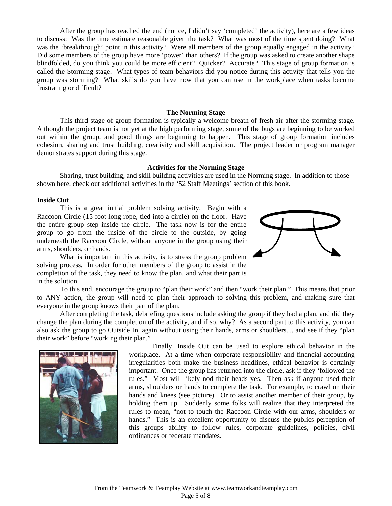After the group has reached the end (notice, I didn't say 'completed' the activity), here are a few ideas to discuss: Was the time estimate reasonable given the task? What was most of the time spent doing? What was the 'breakthrough' point in this activity? Were all members of the group equally engaged in the activity? Did some members of the group have more 'power' than others? If the group was asked to create another shape blindfolded, do you think you could be more efficient? Quicker? Accurate? This stage of group formation is called the Storming stage. What types of team behaviors did you notice during this activity that tells you the group was storming? What skills do you have now that you can use in the workplace when tasks become frustrating or difficult?

#### **The Norming Stage**

This third stage of group formation is typically a welcome breath of fresh air after the storming stage. Although the project team is not yet at the high performing stage, some of the bugs are beginning to be worked out within the group, and good things are beginning to happen. This stage of group formation includes cohesion, sharing and trust building, creativity and skill acquisition. The project leader or program manager demonstrates support during this stage.

### **Activities for the Norming Stage**

 Sharing, trust building, and skill building activities are used in the Norming stage. In addition to those shown here, check out additional activities in the '52 Staff Meetings' section of this book.

# **Inside Out**

 This is a great initial problem solving activity. Begin with a Raccoon Circle (15 foot long rope, tied into a circle) on the floor. Have the entire group step inside the circle. The task now is for the entire group to go from the inside of the circle to the outside, by going underneath the Raccoon Circle, without anyone in the group using their arms, shoulders, or hands.



 What is important in this activity, is to stress the group problem solving process. In order for other members of the group to assist in the completion of the task, they need to know the plan, and what their part is in the solution.

 To this end, encourage the group to "plan their work" and then "work their plan." This means that prior to ANY action, the group will need to plan their approach to solving this problem, and making sure that everyone in the group knows their part of the plan.

 After completing the task, debriefing questions include asking the group if they had a plan, and did they change the plan during the completion of the activity, and if so, why? As a second part to this activity, you can also ask the group to go Outside In, again without using their hands, arms or shoulders.... and see if they "plan their work" before "working their plan."



 Finally, Inside Out can be used to explore ethical behavior in the workplace. At a time when corporate responsibility and financial accounting irregularities both make the business headlines, ethical behavior is certainly important. Once the group has returned into the circle, ask if they 'followed the rules." Most will likely nod their heads yes. Then ask if anyone used their arms, shoulders or hands to complete the task. For example, to crawl on their hands and knees (see picture). Or to assist another member of their group, by holding them up. Suddenly some folks will realize that they interpreted the rules to mean, "not to touch the Raccoon Circle with our arms, shoulders or hands." This is an excellent opportunity to discuss the publics perception of this groups ability to follow rules, corporate guidelines, policies, civil ordinances or federate mandates.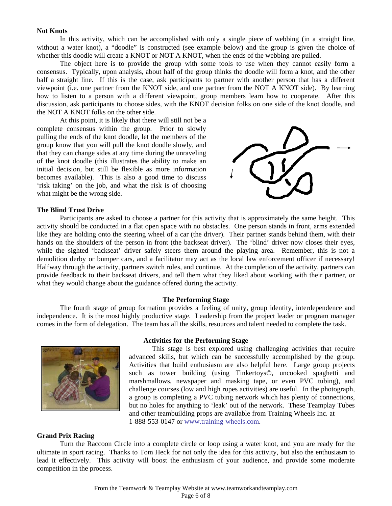### **Not Knots**

 In this activity, which can be accomplished with only a single piece of webbing (in a straight line, without a water knot), a "doodle" is constructed (see example below) and the group is given the choice of whether this doodle will create a KNOT or NOT A KNOT, when the ends of the webbing are pulled.

 The object here is to provide the group with some tools to use when they cannot easily form a consensus. Typically, upon analysis, about half of the group thinks the doodle will form a knot, and the other half a straight line. If this is the case, ask participants to partner with another person that has a different viewpoint (i.e. one partner from the KNOT side, and one partner from the NOT A KNOT side). By learning how to listen to a person with a different viewpoint, group members learn how to cooperate. After this discussion, ask participants to choose sides, with the KNOT decision folks on one side of the knot doodle, and the NOT A KNOT folks on the other side.

 At this point, it is likely that there will still not be a complete consensus within the group. Prior to slowly pulling the ends of the knot doodle, let the members of the group know that you will pull the knot doodle slowly, and that they can change sides at any time during the unraveling of the knot doodle (this illustrates the ability to make an initial decision, but still be flexible as more information becomes available). This is also a good time to discuss 'risk taking' on the job, and what the risk is of choosing what might be the wrong side.



#### **The Blind Trust Drive**

 Participants are asked to choose a partner for this activity that is approximately the same height. This activity should be conducted in a flat open space with no obstacles. One person stands in front, arms extended like they are holding onto the steering wheel of a car (the driver). Their partner stands behind them, with their hands on the shoulders of the person in front (the backseat driver). The 'blind' driver now closes their eyes, while the sighted 'backseat' driver safely steers them around the playing area. Remember, this is not a demolition derby or bumper cars, and a facilitator may act as the local law enforcement officer if necessary! Halfway through the activity, partners switch roles, and continue. At the completion of the activity, partners can provide feedback to their backseat drivers, and tell them what they liked about working with their partner, or what they would change about the guidance offered during the activity.

#### **The Performing Stage**

The fourth stage of group formation provides a feeling of unity, group identity, interdependence and independence. It is the most highly productive stage. Leadership from the project leader or program manager comes in the form of delegation. The team has all the skills, resources and talent needed to complete the task.



### **Activities for the Performing Stage**

 This stage is best explored using challenging activities that require advanced skills, but which can be successfully accomplished by the group. Activities that build enthusiasm are also helpful here. Large group projects such as tower building (using Tinkertoys©, uncooked spaghetti and marshmallows, newspaper and masking tape, or even PVC tubing), and challenge courses (low and high ropes activities) are useful. In the photograph, a group is completing a PVC tubing network which has plenty of connections, but no holes for anything to 'leak' out of the network. These Teamplay Tubes and other teambuilding props are available from Training Wheels Inc. at 1-888-553-0147 or www.[training-wheels](http://www.training-wheels.com).com.

# **Grand Prix Racing**

 Turn the Raccoon Circle into a complete circle or loop using a water knot, and you are ready for the ultimate in sport racing. Thanks to Tom Heck for not only the idea for this activity, but also the enthusiasm to lead it effectively. This activity will boost the enthusiasm of your audience, and provide some moderate competition in the process.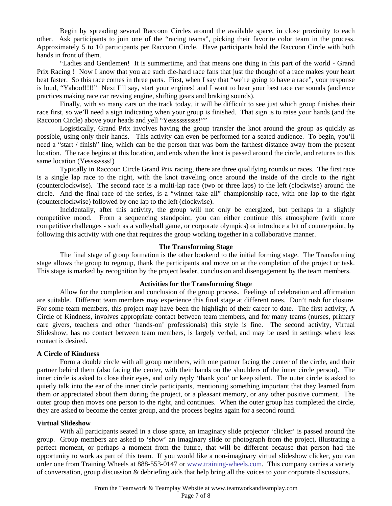Begin by spreading several Raccoon Circles around the available space, in close proximity to each other. Ask participants to join one of the "racing teams", picking their favorite color team in the process. Approximately 5 to 10 participants per Raccoon Circle. Have participants hold the Raccoon Circle with both hands in front of them.

 "Ladies and Gentlemen! It is summertime, and that means one thing in this part of the world - Grand Prix Racing ! Now I know that you are such die-hard race fans that just the thought of a race makes your heart beat faster. So this race comes in three parts. First, when I say that "we're going to have a race", your response is loud, "Yahoo!!!!!" Next I'll say, start your engines! and I want to hear your best race car sounds (audience practices making race car revving engine, shifting gears and braking sounds).

 Finally, with so many cars on the track today, it will be difficult to see just which group finishes their race first, so we'll need a sign indicating when your group is finished. That sign is to raise your hands (and the Raccoon Circle) above your heads and yell "Yessssssssss!""

 Logistically, Grand Prix involves having the group transfer the knot around the group as quickly as possible, using only their hands. This activity can even be performed for a seated audience. To begin, you'll need a "start / finish" line, which can be the person that was born the farthest distance away from the present location. The race begins at this location, and ends when the knot is passed around the circle, and returns to this same location (Yesssssssss!)

 Typically in Raccoon Circle Grand Prix racing, there are three qualifying rounds or races. The first race is a single lap race to the right, with the knot traveling once around the inside of the circle to the right (counterclockwise). The second race is a multi-lap race (two or three laps) to the left (clockwise) around the circle. And the final race of the series, is a "winner take all" championship race, with one lap to the right (counterclockwise) followed by one lap to the left (clockwise).

 Incidentally, after this activity, the group will not only be energized, but perhaps in a slightly competitive mood. From a sequencing standpoint, you can either continue this atmosphere (with more competitive challenges - such as a volleyball game, or corporate olympics) or introduce a bit of counterpoint, by following this activity with one that requires the group working together in a collaborative manner.

### **The Transforming Stage**

 The final stage of group formation is the other bookend to the initial forming stage. The Transforming stage allows the group to regroup, thank the participants and move on at the completion of the project or task. This stage is marked by recognition by the project leader, conclusion and disengagement by the team members.

## **Activities for the Transforming Stage**

Allow for the completion and conclusion of the group process. Feelings of celebration and affirmation are suitable. Different team members may experience this final stage at different rates. Don't rush for closure. For some team members, this project may have been the highlight of their career to date. The first activity, A Circle of Kindness, involves appropriate contact between team members, and for many teams (nurses, primary care givers, teachers and other 'hands-on' professionals) this style is fine. The second activity, Virtual Slideshow, has no contact between team members, is largely verbal, and may be used in settings where less contact is desired.

### **A Circle of Kindness**

Form a double circle with all group members, with one partner facing the center of the circle, and their partner behind them (also facing the center, with their hands on the shoulders of the inner circle person). The inner circle is asked to close their eyes, and only reply 'thank you' or keep silent. The outer circle is asked to quietly talk into the ear of the inner circle participants, mentioning something important that they learned from them or appreciated about them during the project, or a pleasant memory, or any other positive comment. The outer group then moves one person to the right, and continues. When the outer group has completed the circle, they are asked to become the center group, and the process begins again for a second round.

### **Virtual Slideshow**

With all participants seated in a close space, an imaginary slide projector 'clicker' is passed around the group. Group members are asked to 'show' an imaginary slide or photograph from the project, illustrating a perfect moment, or perhaps a moment from the future, that will be different because that person had the opportunity to work as part of this team. If you would like a non-imaginary virtual slideshow clicker, you can order one from Training Wheels at 888-553-0147 or [www.training-wheels.com.](http://www.training-wheels.com) This company carries a variety of conversation, group discussion & debriefing aids that help bring all the voices to your corporate discussions.